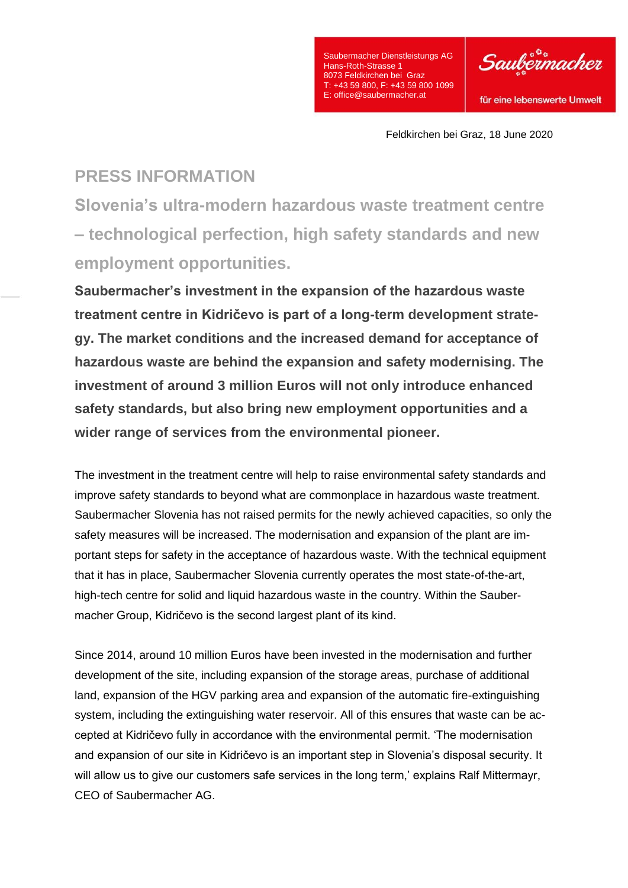

Feldkirchen bei Graz, 18 June 2020

## **PRESS INFORMATION**

**Slovenia's ultra-modern hazardous waste treatment centre – technological perfection, high safety standards and new employment opportunities.**

**Saubermacher's investment in the expansion of the hazardous waste treatment centre in Kidričevo is part of a long-term development strategy. The market conditions and the increased demand for acceptance of hazardous waste are behind the expansion and safety modernising. The investment of around 3 million Euros will not only introduce enhanced safety standards, but also bring new employment opportunities and a wider range of services from the environmental pioneer.**

The investment in the treatment centre will help to raise environmental safety standards and improve safety standards to beyond what are commonplace in hazardous waste treatment. Saubermacher Slovenia has not raised permits for the newly achieved capacities, so only the safety measures will be increased. The modernisation and expansion of the plant are important steps for safety in the acceptance of hazardous waste. With the technical equipment that it has in place, Saubermacher Slovenia currently operates the most state-of-the-art, high-tech centre for solid and liquid hazardous waste in the country. Within the Saubermacher Group, Kidričevo is the second largest plant of its kind.

Since 2014, around 10 million Euros have been invested in the modernisation and further development of the site, including expansion of the storage areas, purchase of additional land, expansion of the HGV parking area and expansion of the automatic fire-extinguishing system, including the extinguishing water reservoir. All of this ensures that waste can be accepted at Kidričevo fully in accordance with the environmental permit. 'The modernisation and expansion of our site in Kidričevo is an important step in Slovenia's disposal security. It will allow us to give our customers safe services in the long term,' explains Ralf Mittermayr, CEO of Saubermacher AG.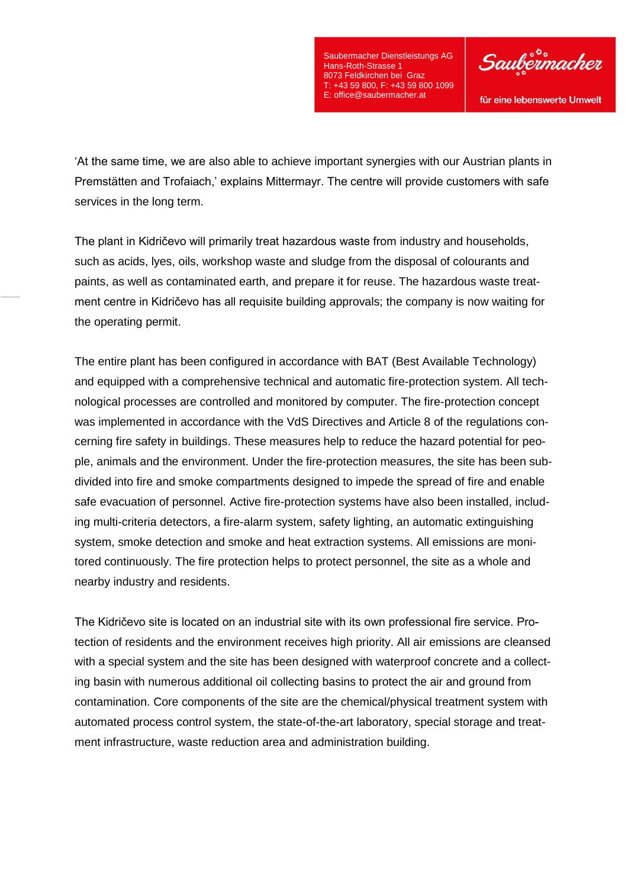

für eine lebenswerte Umwelt

'At the same time, we are also able to achieve important synergies with our Austrian plants in Premstätten and Trofaiach,' explains Mittermayr. The centre will provide customers with safe services in the long term.

The plant in Kidričevo will primarily treat hazardous waste from industry and households, such as acids, lyes, oils, workshop waste and sludge from the disposal of colourants and paints, as well as contaminated earth, and prepare it for reuse. The hazardous waste treatment centre in Kidričevo has all requisite building approvals; the company is now waiting for the operating permit.

The entire plant has been configured in accordance with BAT (Best Available Technology) and equipped with a comprehensive technical and automatic fire-protection system. All technological processes are controlled and monitored by computer. The fire-protection concept was implemented in accordance with the VdS Directives and Article 8 of the regulations concerning fire safety in buildings. These measures help to reduce the hazard potential for people, animals and the environment. Under the fire-protection measures, the site has been subdivided into fire and smoke compartments designed to impede the spread of fire and enable safe evacuation of personnel. Active fire-protection systems have also been installed, including multi-criteria detectors, a fire-alarm system, safety lighting, an automatic extinguishing system, smoke detection and smoke and heat extraction systems. All emissions are monitored continuously. The fire protection helps to protect personnel, the site as a whole and nearby industry and residents.

The Kidričevo site is located on an industrial site with its own professional fire service. Protection of residents and the environment receives high priority. All air emissions are cleansed with a special system and the site has been designed with waterproof concrete and a collecting basin with numerous additional oil collecting basins to protect the air and ground from contamination. Core components of the site are the chemical/physical treatment system with automated process control system, the state-of-the-art laboratory, special storage and treatment infrastructure, waste reduction area and administration building.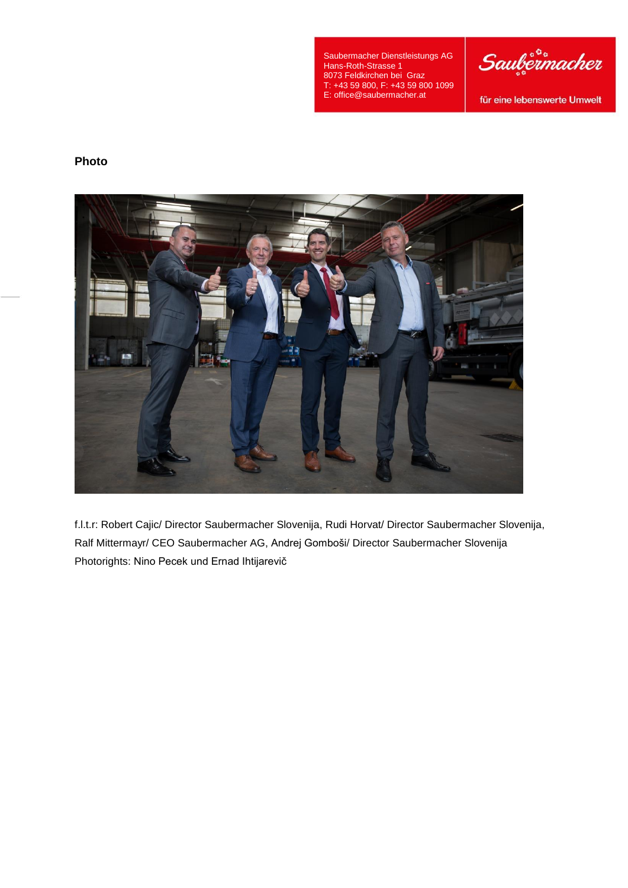

für eine lebenswerte Umwelt

## **Photo**



f.l.t.r: Robert Cajic/ Director Saubermacher Slovenija, Rudi Horvat/ Director Saubermacher Slovenija, Ralf Mittermayr/ CEO Saubermacher AG, Andrej Gomboši/ Director Saubermacher Slovenija Photorights: Nino Pecek und Ernad Ihtijarevič